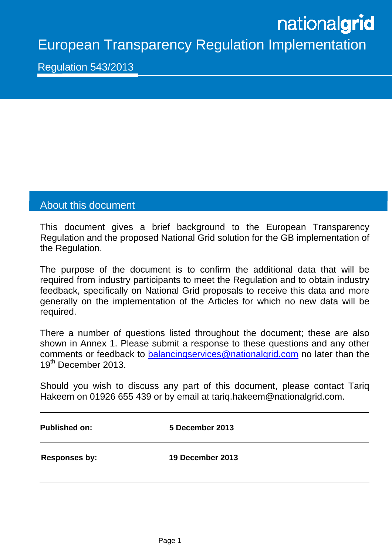# nationalgrid

European Transparency Regulation Implementation

Regulation 543/2013

# About this document

This document gives a brief background to the European Transparency Regulation and the proposed National Grid solution for the GB implementation of the Regulation.

The purpose of the document is to confirm the additional data that will be required from industry participants to meet the Regulation and to obtain industry feedback, specifically on National Grid proposals to receive this data and more generally on the implementation of the Articles for which no new data will be required.

There a number of questions listed throughout the document; these are also shown in Annex 1. Please submit a response to these questions and any other comments or feedback to balancingservices@nationalgrid.com no later than the 19<sup>th</sup> December 2013.

Should you wish to discuss any part of this document, please contact Tariq Hakeem on 01926 655 439 or by email at tariq.hakeem@nationalgrid.com.

| <b>Published on:</b> | 5 December 2013  |
|----------------------|------------------|
| <b>Responses by:</b> | 19 December 2013 |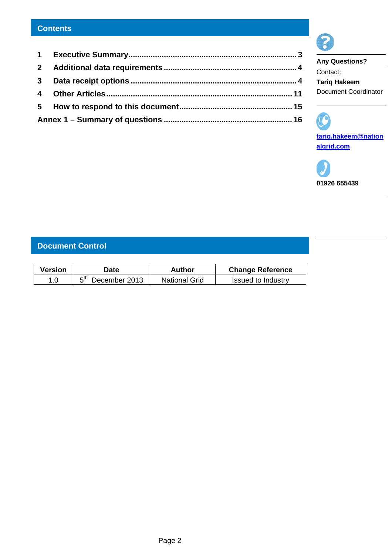| $\mathbf{3}$            |  |
|-------------------------|--|
| $\overline{\mathbf{4}}$ |  |
|                         |  |
|                         |  |



| <b>Any Questions?</b> |  |
|-----------------------|--|
| Contact:              |  |
| <b>Tarig Hakeem</b>   |  |
| Document Coordinator  |  |

 $\overline{\mathcal{C}}$ **tariq.hakeem@nation algrid.com**



# **Document Control**

| <b>Version</b> | Date                  | Author               | <b>Change Reference</b>   |
|----------------|-----------------------|----------------------|---------------------------|
| 1.0            | ∟ fh<br>December 2013 | <b>National Grid</b> | <b>Issued to Industry</b> |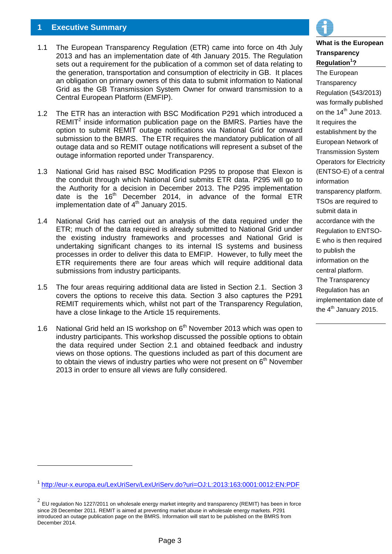## **1 Executive Summary**

- 1.1 The European Transparency Regulation (ETR) came into force on 4th July 2013 and has an implementation date of 4th January 2015. The Regulation sets out a requirement for the publication of a common set of data relating to the generation, transportation and consumption of electricity in GB. It places an obligation on primary owners of this data to submit information to National Grid as the GB Transmission System Owner for onward transmission to a Central European Platform (EMFIP).
- 1.2 The ETR has an interaction with BSC Modification P291 which introduced a REMIT<sup>2</sup> inside information publication page on the BMRS. Parties have the option to submit REMIT outage notifications via National Grid for onward submission to the BMRS. The ETR requires the mandatory publication of all outage data and so REMIT outage notifications will represent a subset of the outage information reported under Transparency.
- 1.3 National Grid has raised BSC Modification P295 to propose that Elexon is the conduit through which National Grid submits ETR data. P295 will go to the Authority for a decision in December 2013. The P295 implementation date is the 16<sup>th</sup> December 2014, in advance of the formal ETR implementation date of  $4<sup>th</sup>$  January 2015.
- 1.4 National Grid has carried out an analysis of the data required under the ETR; much of the data required is already submitted to National Grid under the existing industry frameworks and processes and National Grid is undertaking significant changes to its internal IS systems and business processes in order to deliver this data to EMFIP. However, to fully meet the ETR requirements there are four areas which will require additional data submissions from industry participants.
- 1.5 The four areas requiring additional data are listed in Section 2.1. Section 3 covers the options to receive this data. Section 3 also captures the P291 REMIT requirements which, whilst not part of the Transparency Regulation, have a close linkage to the Article 15 requirements.
- 1.6 National Grid held an IS workshop on 6<sup>th</sup> November 2013 which was open to industry participants. This workshop discussed the possible options to obtain the data required under Section 2.1 and obtained feedback and industry views on those options. The questions included as part of this document are to obtain the views of industry parties who were not present on  $6<sup>th</sup>$  November 2013 in order to ensure all views are fully considered.



## **What is the European Transparency Regulation1 ?**

The European **Transparency** Regulation (543/2013) was formally published on the  $14<sup>th</sup>$  June 2013. It requires the establishment by the European Network of Transmission System Operators for Electricity (ENTSO-E) of a central information transparency platform. TSOs are required to submit data in accordance with the Regulation to ENTSO-E who is then required to publish the information on the central platform. The Transparency Regulation has an implementation date of the  $4<sup>th</sup>$  January 2015.

<sup>1</sup> http://eur-x.europa.eu/LexUriServ/LexUriServ.do?uri=OJ:L:2013:163:0001:0012:EN:PDF

 $2$  EU regulation No 1227/2011 on wholesale energy market integrity and transparency (REMIT) has been in force since 28 December 2011. REMIT is aimed at preventing market abuse in wholesale energy markets. P291 introduced an outage publication page on the BMRS. Information will start to be published on the BMRS from December 2014.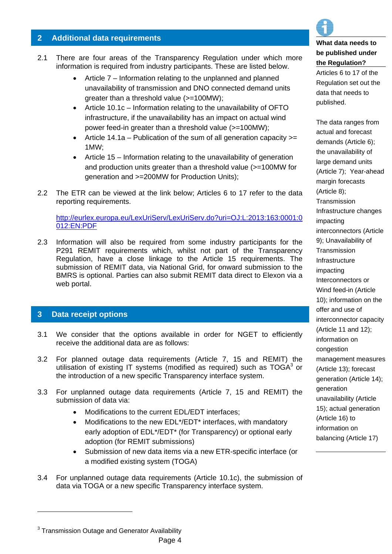## **2 Additional data requirements**

- 2.1 There are four areas of the Transparency Regulation under which more information is required from industry participants. These are listed below.
	- Article 7 Information relating to the unplanned and planned unavailability of transmission and DNO connected demand units greater than a threshold value (>=100MW);
	- Article 10.1c Information relating to the unavailability of OFTO infrastructure, if the unavailability has an impact on actual wind power feed-in greater than a threshold value (>=100MW);
	- Article 14.1a Publication of the sum of all generation capacity  $>=$ 1MW;
	- Article 15 Information relating to the unavailability of generation and production units greater than a threshold value (>=100MW for generation and >=200MW for Production Units);
- 2.2 The ETR can be viewed at the link below; Articles 6 to 17 refer to the data reporting requirements.

http://eurlex.europa.eu/LexUriServ/LexUriServ.do?uri=OJ:L:2013:163:0001:0 012:EN:PDF

2.3 Information will also be required from some industry participants for the P291 REMIT requirements which, whilst not part of the Transparency Regulation, have a close linkage to the Article 15 requirements. The submission of REMIT data, via National Grid, for onward submission to the BMRS is optional. Parties can also submit REMIT data direct to Elexon via a web portal.

## **3 Data receipt options**

- 3.1 We consider that the options available in order for NGET to efficiently receive the additional data are as follows:
- 3.2 For planned outage data requirements (Article 7, 15 and REMIT) the utilisation of existing IT systems (modified as required) such as  $TOGA<sup>3</sup>$  or the introduction of a new specific Transparency interface system.
- 3.3 For unplanned outage data requirements (Article 7, 15 and REMIT) the submission of data via:
	- Modifications to the current EDL/EDT interfaces;
	- Modifications to the new EDL\*/EDT\* interfaces, with mandatory early adoption of EDL\*/EDT\* (for Transparency) or optional early adoption (for REMIT submissions)
	- Submission of new data items via a new ETR-specific interface (or a modified existing system (TOGA)
- 3.4 For unplanned outage data requirements (Article 10.1c), the submission of data via TOGA or a new specific Transparency interface system.



## **What data needs to be published under the Regulation?**

Articles 6 to 17 of the Regulation set out the data that needs to published.

The data ranges from actual and forecast demands (Article 6); the unavailability of large demand units (Article 7); Year-ahead margin forecasts (Article 8); Transmission Infrastructure changes impacting interconnectors (Article 9); Unavailability of **Transmission** Infrastructure impacting Interconnectors or Wind feed-in (Article 10); information on the offer and use of interconnector capacity (Article 11 and 12); information on congestion management measures (Article 13); forecast generation (Article 14); generation unavailability (Article 15); actual generation (Article 16) to information on balancing (Article 17)

<sup>&</sup>lt;sup>3</sup> Transmission Outage and Generator Availability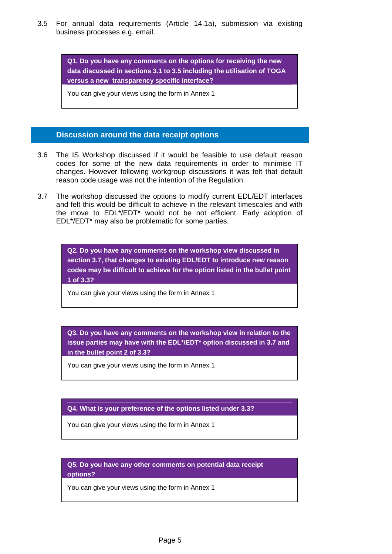3.5 For annual data requirements (Article 14.1a), submission via existing business processes e.g. email.

> **Q1. Do you have any comments on the options for receiving the new data discussed in sections 3.1 to 3.5 including the utilisation of TOGA versus a new transparency specific interface?**

You can give your views using the form in Annex 1

#### **Discussion around the data receipt options**

- 3.6 The IS Workshop discussed if it would be feasible to use default reason codes for some of the new data requirements in order to minimise IT changes. However following workgroup discussions it was felt that default reason code usage was not the intention of the Regulation.
- 3.7 The workshop discussed the options to modify current EDL/EDT interfaces and felt this would be difficult to achieve in the relevant timescales and with the move to EDL\*/EDT\* would not be not efficient. Early adoption of EDL\*/EDT\* may also be problematic for some parties.

**Q2. Do you have any comments on the workshop view discussed in section 3.7, that changes to existing EDL/EDT to introduce new reason codes may be difficult to achieve for the option listed in the bullet point 1 of 3.3?** 

You can give your views using the form in Annex 1

**Q3. Do you have any comments on the workshop view in relation to the issue parties may have with the EDL\*/EDT\* option discussed in 3.7 and in the bullet point 2 of 3.3?** 

You can give your views using the form in Annex 1

#### **Q4. What is your preference of the options listed under 3.3?**

You can give your views using the form in Annex 1

**Q5. Do you have any other comments on potential data receipt options?** 

You can give your views using the form in Annex 1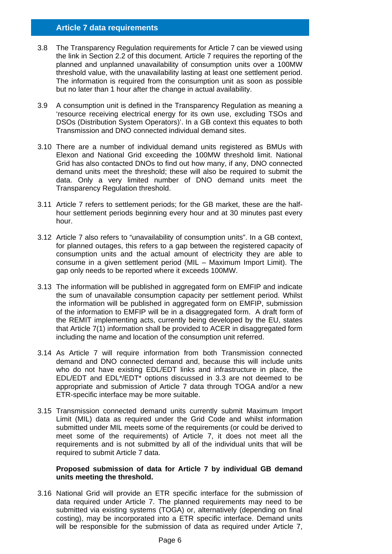- 3.8 The Transparency Regulation requirements for Article 7 can be viewed using the link in Section 2.2 of this document. Article 7 requires the reporting of the planned and unplanned unavailability of consumption units over a 100MW threshold value, with the unavailability lasting at least one settlement period. The information is required from the consumption unit as soon as possible but no later than 1 hour after the change in actual availability.
- 3.9 A consumption unit is defined in the Transparency Regulation as meaning a 'resource receiving electrical energy for its own use, excluding TSOs and DSOs (Distribution System Operators)'. In a GB context this equates to both Transmission and DNO connected individual demand sites.
- 3.10 There are a number of individual demand units registered as BMUs with Elexon and National Grid exceeding the 100MW threshold limit. National Grid has also contacted DNOs to find out how many, if any, DNO connected demand units meet the threshold; these will also be required to submit the data. Only a very limited number of DNO demand units meet the Transparency Regulation threshold.
- 3.11 Article 7 refers to settlement periods; for the GB market, these are the halfhour settlement periods beginning every hour and at 30 minutes past every hour.
- 3.12 Article 7 also refers to "unavailability of consumption units". In a GB context, for planned outages, this refers to a gap between the registered capacity of consumption units and the actual amount of electricity they are able to consume in a given settlement period (MIL – Maximum Import Limit). The gap only needs to be reported where it exceeds 100MW.
- 3.13 The information will be published in aggregated form on EMFIP and indicate the sum of unavailable consumption capacity per settlement period. Whilst the information will be published in aggregated form on EMFIP, submission of the information to EMFIP will be in a disaggregated form. A draft form of the REMIT implementing acts, currently being developed by the EU, states that Article 7(1) information shall be provided to ACER in disaggregated form including the name and location of the consumption unit referred.
- 3.14 As Article 7 will require information from both Transmission connected demand and DNO connected demand and, because this will include units who do not have existing EDL/EDT links and infrastructure in place, the EDL/EDT and EDL\*/EDT\* options discussed in 3.3 are not deemed to be appropriate and submission of Article 7 data through TOGA and/or a new ETR-specific interface may be more suitable.
- 3.15 Transmission connected demand units currently submit Maximum Import Limit (MIL) data as required under the Grid Code and whilst information submitted under MIL meets some of the requirements (or could be derived to meet some of the requirements) of Article 7, it does not meet all the requirements and is not submitted by all of the individual units that will be required to submit Article 7 data.

#### **Proposed submission of data for Article 7 by individual GB demand units meeting the threshold.**

3.16 National Grid will provide an ETR specific interface for the submission of data required under Article 7. The planned requirements may need to be submitted via existing systems (TOGA) or, alternatively (depending on final costing), may be incorporated into a ETR specific interface. Demand units will be responsible for the submission of data as required under Article 7,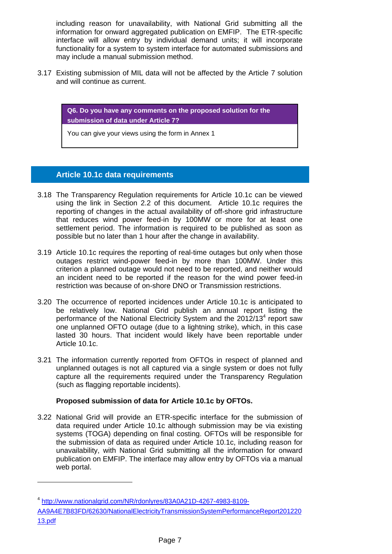including reason for unavailability, with National Grid submitting all the information for onward aggregated publication on EMFIP. The ETR-specific interface will allow entry by individual demand units; it will incorporate functionality for a system to system interface for automated submissions and may include a manual submission method.

3.17 Existing submission of MIL data will not be affected by the Article 7 solution and will continue as current.

> **Q6. Do you have any comments on the proposed solution for the submission of data under Article 7?**

You can give your views using the form in Annex 1

## **Article 10.1c data requirements**

- 3.18 The Transparency Regulation requirements for Article 10.1c can be viewed using the link in Section 2.2 of this document. Article 10.1c requires the reporting of changes in the actual availability of off-shore grid infrastructure that reduces wind power feed-in by 100MW or more for at least one settlement period. The information is required to be published as soon as possible but no later than 1 hour after the change in availability.
- 3.19 Article 10.1c requires the reporting of real-time outages but only when those outages restrict wind-power feed-in by more than 100MW. Under this criterion a planned outage would not need to be reported, and neither would an incident need to be reported if the reason for the wind power feed-in restriction was because of on-shore DNO or Transmission restrictions.
- 3.20 The occurrence of reported incidences under Article 10.1c is anticipated to be relatively low. National Grid publish an annual report listing the performance of the National Electricity System and the 2012/13<sup>4</sup> report saw one unplanned OFTO outage (due to a lightning strike), which, in this case lasted 30 hours. That incident would likely have been reportable under Article 10.1c.
- 3.21 The information currently reported from OFTOs in respect of planned and unplanned outages is not all captured via a single system or does not fully capture all the requirements required under the Transparency Regulation (such as flagging reportable incidents).

#### **Proposed submission of data for Article 10.1c by OFTOs.**

3.22 National Grid will provide an ETR-specific interface for the submission of data required under Article 10.1c although submission may be via existing systems (TOGA) depending on final costing. OFTOs will be responsible for the submission of data as required under Article 10.1c, including reason for unavailability, with National Grid submitting all the information for onward publication on EMFIP. The interface may allow entry by OFTOs via a manual web portal.

<sup>4</sup> http://www.nationalgrid.com/NR/rdonlyres/83A0A21D-4267-4983-8109-

AA9A4E7B83FD/62630/NationalElectricityTransmissionSystemPerformanceReport201220 13.pdf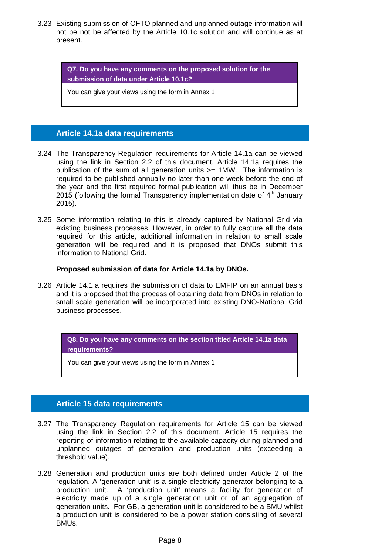3.23 Existing submission of OFTO planned and unplanned outage information will not be not be affected by the Article 10.1c solution and will continue as at present.

> **Q7. Do you have any comments on the proposed solution for the submission of data under Article 10.1c?**

You can give your views using the form in Annex 1

## **Article 14.1a data requirements**

- 3.24 The Transparency Regulation requirements for Article 14.1a can be viewed using the link in Section 2.2 of this document. Article 14.1a requires the publication of the sum of all generation units >= 1MW. The information is required to be published annually no later than one week before the end of the year and the first required formal publication will thus be in December 2015 (following the formal Transparency implementation date of  $4<sup>th</sup>$  January 2015).
- 3.25 Some information relating to this is already captured by National Grid via existing business processes. However, in order to fully capture all the data required for this article, additional information in relation to small scale generation will be required and it is proposed that DNOs submit this information to National Grid.

#### **Proposed submission of data for Article 14.1a by DNOs.**

3.26 Article 14.1.a requires the submission of data to EMFIP on an annual basis and it is proposed that the process of obtaining data from DNOs in relation to small scale generation will be incorporated into existing DNO-National Grid business processes.

> **Q8. Do you have any comments on the section titled Article 14.1a data requirements?**

You can give your views using the form in Annex 1

#### **Article 15 data requirements**

- 3.27 The Transparency Regulation requirements for Article 15 can be viewed using the link in Section 2.2 of this document. Article 15 requires the reporting of information relating to the available capacity during planned and unplanned outages of generation and production units (exceeding a threshold value).
- 3.28 Generation and production units are both defined under Article 2 of the regulation. A 'generation unit' is a single electricity generator belonging to a production unit. A 'production unit' means a facility for generation of electricity made up of a single generation unit or of an aggregation of generation units. For GB, a generation unit is considered to be a BMU whilst a production unit is considered to be a power station consisting of several BMUs.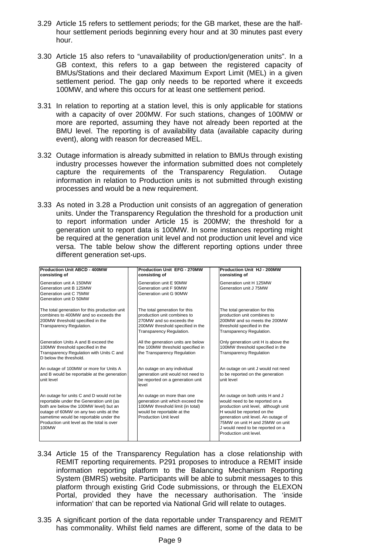- 3.29 Article 15 refers to settlement periods; for the GB market, these are the halfhour settlement periods beginning every hour and at 30 minutes past every hour.
- 3.30 Article 15 also refers to "unavailability of production/generation units". In a GB context, this refers to a gap between the registered capacity of BMUs/Stations and their declared Maximum Export Limit (MEL) in a given settlement period. The gap only needs to be reported where it exceeds 100MW, and where this occurs for at least one settlement period.
- 3.31 In relation to reporting at a station level, this is only applicable for stations with a capacity of over 200MW. For such stations, changes of 100MW or more are reported, assuming they have not already been reported at the BMU level. The reporting is of availability data (available capacity during event), along with reason for decreased MEL.
- 3.32 Outage information is already submitted in relation to BMUs through existing industry processes however the information submitted does not completely capture the requirements of the Transparency Regulation. Outage information in relation to Production units is not submitted through existing processes and would be a new requirement.
- 3.33 As noted in 3.28 a Production unit consists of an aggregation of generation units. Under the Transparency Regulation the threshold for a production unit to report information under Article 15 is 200MW; the threshold for a generation unit to report data is 100MW. In some instances reporting might be required at the generation unit level and not production unit level and vice versa. The table below show the different reporting options under three different generation set-ups.

| <b>Production Unit ABCD - 400MW</b><br>consisting of                                                                                                                                                                                                                      | <b>Production Unit EFG - 270MW</b><br>consisting of                                                                                                              | Production Unit HJ - 200MW<br>consisting of                                                                                                                                                                                                                                     |
|---------------------------------------------------------------------------------------------------------------------------------------------------------------------------------------------------------------------------------------------------------------------------|------------------------------------------------------------------------------------------------------------------------------------------------------------------|---------------------------------------------------------------------------------------------------------------------------------------------------------------------------------------------------------------------------------------------------------------------------------|
| Generation unit A 150MW<br>Generation unit B 125MW<br>Generation unit C 75MW<br>Generation unit D 50MW                                                                                                                                                                    | Generation unit E 90MW<br>Generation unit F 90MW<br>Generation unit G 90MW                                                                                       | Generation unit H 125MW<br>Generation unit J 75MW                                                                                                                                                                                                                               |
| The total generation for this production unit<br>combines to 400MW and so exceeds the<br>200MW threshold specified in the<br>Transparency Regulation.                                                                                                                     | The total generation for this<br>production unit combines to<br>270MW and so exceeds the<br>200MW threshold specified in the<br><b>Transparency Regulation.</b>  | The total generation for this<br>production unit combines to<br>200MW and so meets the 200MW<br>threshold specified in the<br>Transparency Regulation.                                                                                                                          |
| Generation Units A and B exceed the<br>100MW threshold specified in the<br>Transparency Regulation with Units C and<br>D below the threshold.                                                                                                                             | All the generation units are below<br>the 100MW threshold specified in<br>the Transparency Regulation                                                            | Only generation unit H is above the<br>100MW threshold specified in the<br><b>Transparency Requlation</b>                                                                                                                                                                       |
| An outage of 100MW or more for Units A<br>and B would be reportable at the generation<br>unit level                                                                                                                                                                       | An outage on any individual<br>generation unit would not need to<br>be reported on a generation unit<br>level                                                    | An outage on unit J would not need<br>to be reported on the generation<br>unit level                                                                                                                                                                                            |
| An outage for units C and D would not be<br>reportable under the Generation unit (as<br>both are below the 100MW level) but an<br>outage of 60MW on any two units at the<br>sametime would be reportable under the<br>Production unit level as the total is over<br>100MW | An outage on more than one<br>generation unit which exceed the<br>100MW threshold limit (in total)<br>would be reportable at the<br><b>Production Unit level</b> | An outage on both units H and J<br>would need to be reported on a<br>production unit level, although unit<br>H would be reported on the<br>generation unit level. An outage of<br>75MW on unit H and 25MW on unit<br>J would need to be reported on a<br>Production unit level. |

- 3.34 Article 15 of the Transparency Regulation has a close relationship with REMIT reporting requirements. P291 proposes to introduce a REMIT inside information reporting platform to the Balancing Mechanism Reporting System (BMRS) website. Participants will be able to submit messages to this platform through existing Grid Code submissions, or through the ELEXON Portal, provided they have the necessary authorisation. The 'inside information' that can be reported via National Grid will relate to outages.
- 3.35 A significant portion of the data reportable under Transparency and REMIT has commonality. Whilst field names are different, some of the data to be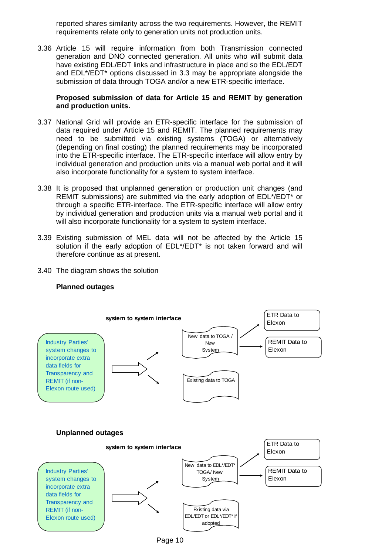reported shares similarity across the two requirements. However, the REMIT requirements relate only to generation units not production units.

3.36 Article 15 will require information from both Transmission connected generation and DNO connected generation. All units who will submit data have existing EDL/EDT links and infrastructure in place and so the EDL/EDT and EDL\*/EDT\* options discussed in 3.3 may be appropriate alongside the submission of data through TOGA and/or a new ETR-specific interface.

#### **Proposed submission of data for Article 15 and REMIT by generation and production units.**

- 3.37 National Grid will provide an ETR-specific interface for the submission of data required under Article 15 and REMIT. The planned requirements may need to be submitted via existing systems (TOGA) or alternatively (depending on final costing) the planned requirements may be incorporated into the ETR-specific interface. The ETR-specific interface will allow entry by individual generation and production units via a manual web portal and it will also incorporate functionality for a system to system interface.
- 3.38 It is proposed that unplanned generation or production unit changes (and REMIT submissions) are submitted via the early adoption of EDL\*/EDT\* or through a specific ETR-interface. The ETR-specific interface will allow entry by individual generation and production units via a manual web portal and it will also incorporate functionality for a system to system interface.
- 3.39 Existing submission of MEL data will not be affected by the Article 15 solution if the early adoption of EDL\*/EDT\* is not taken forward and will therefore continue as at present.
- 3.40 The diagram shows the solution

#### **Planned outages**

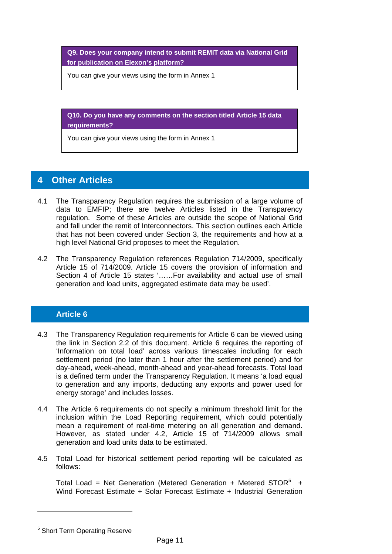**Q9. Does your company intend to submit REMIT data via National Grid for publication on Elexon's platform?** 

You can give your views using the form in Annex 1

**Q10. Do you have any comments on the section titled Article 15 data requirements?** 

You can give your views using the form in Annex 1

# **4 Other Articles**

- 4.1 The Transparency Regulation requires the submission of a large volume of data to EMFIP; there are twelve Articles listed in the Transparency regulation. Some of these Articles are outside the scope of National Grid and fall under the remit of Interconnectors. This section outlines each Article that has not been covered under Section 3, the requirements and how at a high level National Grid proposes to meet the Regulation.
- 4.2 The Transparency Regulation references Regulation 714/2009, specifically Article 15 of 714/2009. Article 15 covers the provision of information and Section 4 of Article 15 states '……For availability and actual use of small generation and load units, aggregated estimate data may be used'.

## **Article 6**

- 4.3 The Transparency Regulation requirements for Article 6 can be viewed using the link in Section 2.2 of this document. Article 6 requires the reporting of 'Information on total load' across various timescales including for each settlement period (no later than 1 hour after the settlement period) and for day-ahead, week-ahead, month-ahead and year-ahead forecasts. Total load is a defined term under the Transparency Regulation. It means 'a load equal to generation and any imports, deducting any exports and power used for energy storage' and includes losses.
- 4.4 The Article 6 requirements do not specify a minimum threshold limit for the inclusion within the Load Reporting requirement, which could potentially mean a requirement of real-time metering on all generation and demand. However, as stated under 4.2, Article 15 of 714/2009 allows small generation and load units data to be estimated.
- 4.5 Total Load for historical settlement period reporting will be calculated as follows:

Total Load = Net Generation (Metered Generation + Metered STOR $5$  + Wind Forecast Estimate + Solar Forecast Estimate + Industrial Generation

<sup>&</sup>lt;sup>5</sup> Short Term Operating Reserve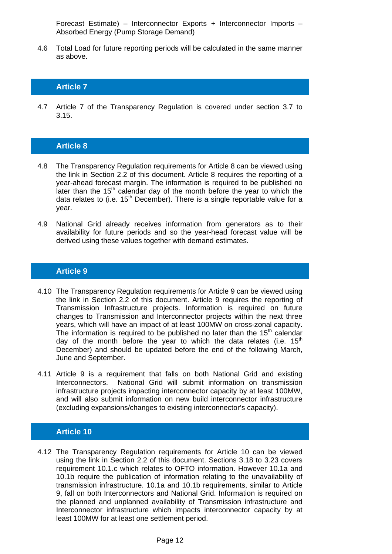Forecast Estimate) – Interconnector Exports + Interconnector Imports – Absorbed Energy (Pump Storage Demand)

4.6 Total Load for future reporting periods will be calculated in the same manner as above.

## **Article 7**

4.7 Article 7 of the Transparency Regulation is covered under section 3.7 to 3.15.

## **Article 8**

- 4.8 The Transparency Regulation requirements for Article 8 can be viewed using the link in Section 2.2 of this document. Article 8 requires the reporting of a year-ahead forecast margin. The information is required to be published no later than the  $15<sup>th</sup>$  calendar day of the month before the year to which the data relates to (i.e.  $15<sup>th</sup>$  December). There is a single reportable value for a year.
- 4.9 National Grid already receives information from generators as to their availability for future periods and so the year-head forecast value will be derived using these values together with demand estimates.

## **Article 9**

- 4.10 The Transparency Regulation requirements for Article 9 can be viewed using the link in Section 2.2 of this document. Article 9 requires the reporting of Transmission Infrastructure projects. Information is required on future changes to Transmission and Interconnector projects within the next three years, which will have an impact of at least 100MW on cross-zonal capacity. The information is required to be published no later than the  $15<sup>th</sup>$  calendar day of the month before the year to which the data relates (i.e.  $15<sup>th</sup>$ December) and should be updated before the end of the following March, June and September.
- 4.11 Article 9 is a requirement that falls on both National Grid and existing Interconnectors. National Grid will submit information on transmission infrastructure projects impacting interconnector capacity by at least 100MW, and will also submit information on new build interconnector infrastructure (excluding expansions/changes to existing interconnector's capacity).

## **Article 10**

4.12 The Transparency Regulation requirements for Article 10 can be viewed using the link in Section 2.2 of this document. Sections 3.18 to 3.23 covers requirement 10.1.c which relates to OFTO information. However 10.1a and 10.1b require the publication of information relating to the unavailability of transmission infrastructure. 10.1a and 10.1b requirements, similar to Article 9, fall on both Interconnectors and National Grid. Information is required on the planned and unplanned availability of Transmission infrastructure and Interconnector infrastructure which impacts interconnector capacity by at least 100MW for at least one settlement period.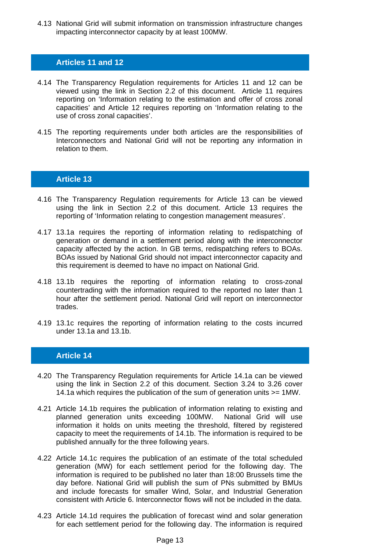4.13 National Grid will submit information on transmission infrastructure changes impacting interconnector capacity by at least 100MW.

## **Articles 11 and 12**

- 4.14 The Transparency Regulation requirements for Articles 11 and 12 can be viewed using the link in Section 2.2 of this document. Article 11 requires reporting on 'Information relating to the estimation and offer of cross zonal capacities' and Article 12 requires reporting on 'Information relating to the use of cross zonal capacities'.
- 4.15 The reporting requirements under both articles are the responsibilities of Interconnectors and National Grid will not be reporting any information in relation to them.

## **Article 13**

- 4.16 The Transparency Regulation requirements for Article 13 can be viewed using the link in Section 2.2 of this document. Article 13 requires the reporting of 'Information relating to congestion management measures'.
- 4.17 13.1a requires the reporting of information relating to redispatching of generation or demand in a settlement period along with the interconnector capacity affected by the action. In GB terms, redispatching refers to BOAs. BOAs issued by National Grid should not impact interconnector capacity and this requirement is deemed to have no impact on National Grid.
- 4.18 13.1b requires the reporting of information relating to cross-zonal countertrading with the information required to the reported no later than 1 hour after the settlement period. National Grid will report on interconnector trades.
- 4.19 13.1c requires the reporting of information relating to the costs incurred under 13.1a and 13.1b.

## **Article 14**

- 4.20 The Transparency Regulation requirements for Article 14.1a can be viewed using the link in Section 2.2 of this document. Section 3.24 to 3.26 cover 14.1a which requires the publication of the sum of generation units >= 1MW.
- 4.21 Article 14.1b requires the publication of information relating to existing and planned generation units exceeding 100MW. National Grid will use information it holds on units meeting the threshold, filtered by registered capacity to meet the requirements of 14.1b. The information is required to be published annually for the three following years.
- 4.22 Article 14.1c requires the publication of an estimate of the total scheduled generation (MW) for each settlement period for the following day. The information is required to be published no later than 18:00 Brussels time the day before. National Grid will publish the sum of PNs submitted by BMUs and include forecasts for smaller Wind, Solar, and Industrial Generation consistent with Article 6. Interconnector flows will not be included in the data.
- 4.23 Article 14.1d requires the publication of forecast wind and solar generation for each settlement period for the following day. The information is required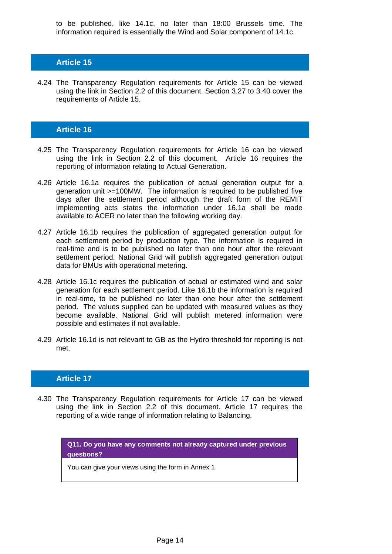to be published, like 14.1c, no later than 18:00 Brussels time. The information required is essentially the Wind and Solar component of 14.1c.

## **Article 15**

4.24 The Transparency Regulation requirements for Article 15 can be viewed using the link in Section 2.2 of this document. Section 3.27 to 3.40 cover the requirements of Article 15.

#### **Article 16**

- 4.25 The Transparency Regulation requirements for Article 16 can be viewed using the link in Section 2.2 of this document. Article 16 requires the reporting of information relating to Actual Generation.
- 4.26 Article 16.1a requires the publication of actual generation output for a generation unit >=100MW. The information is required to be published five days after the settlement period although the draft form of the REMIT implementing acts states the information under 16.1a shall be made available to ACER no later than the following working day.
- 4.27 Article 16.1b requires the publication of aggregated generation output for each settlement period by production type. The information is required in real-time and is to be published no later than one hour after the relevant settlement period. National Grid will publish aggregated generation output data for BMUs with operational metering.
- 4.28 Article 16.1c requires the publication of actual or estimated wind and solar generation for each settlement period. Like 16.1b the information is required in real-time, to be published no later than one hour after the settlement period. The values supplied can be updated with measured values as they become available. National Grid will publish metered information were possible and estimates if not available.
- 4.29 Article 16.1d is not relevant to GB as the Hydro threshold for reporting is not met.

### **Article 17**

4.30 The Transparency Regulation requirements for Article 17 can be viewed using the link in Section 2.2 of this document. Article 17 requires the reporting of a wide range of information relating to Balancing.

> **Q11. Do you have any comments not already captured under previous questions?**

You can give your views using the form in Annex 1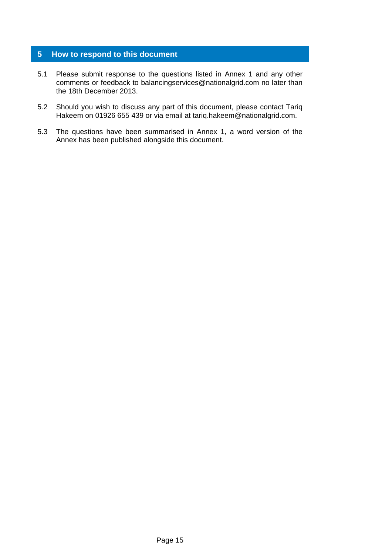## **5 How to respond to this document**

- 5.1 Please submit response to the questions listed in Annex 1 and any other comments or feedback to balancingservices@nationalgrid.com no later than the 18th December 2013.
- 5.2 Should you wish to discuss any part of this document, please contact Tariq Hakeem on 01926 655 439 or via email at tariq.hakeem@nationalgrid.com.
- 5.3 The questions have been summarised in Annex 1, a word version of the Annex has been published alongside this document.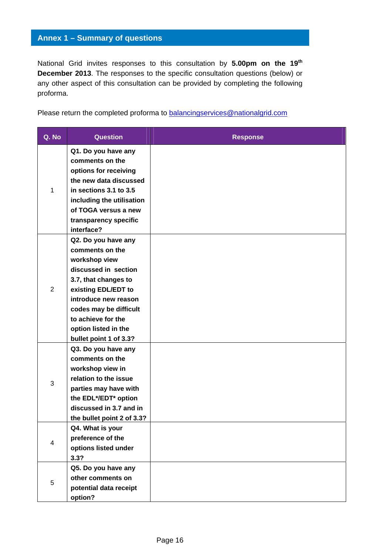# **Annex 1 – Summary of questions**

National Grid invites responses to this consultation by **5.00pm on the 19th December 2013**. The responses to the specific consultation questions (below) or any other aspect of this consultation can be provided by completing the following proforma.

Please return the completed proforma to **balancingservices@nationalgrid.com** 

| Q. No          | <b>Question</b>            | <b>Response</b> |
|----------------|----------------------------|-----------------|
|                | Q1. Do you have any        |                 |
|                | comments on the            |                 |
|                | options for receiving      |                 |
|                | the new data discussed     |                 |
| $\mathbf{1}$   | in sections 3.1 to 3.5     |                 |
|                | including the utilisation  |                 |
|                | of TOGA versus a new       |                 |
|                | transparency specific      |                 |
|                | interface?                 |                 |
|                | Q2. Do you have any        |                 |
|                | comments on the            |                 |
|                | workshop view              |                 |
| $\overline{2}$ | discussed in section       |                 |
|                | 3.7, that changes to       |                 |
|                | existing EDL/EDT to        |                 |
|                | introduce new reason       |                 |
|                | codes may be difficult     |                 |
|                | to achieve for the         |                 |
|                | option listed in the       |                 |
|                | bullet point 1 of 3.3?     |                 |
|                | Q3. Do you have any        |                 |
|                | comments on the            |                 |
|                | workshop view in           |                 |
| 3              | relation to the issue      |                 |
|                | parties may have with      |                 |
|                | the EDL*/EDT* option       |                 |
|                | discussed in 3.7 and in    |                 |
|                | the bullet point 2 of 3.3? |                 |
| 4              | Q4. What is your           |                 |
|                | preference of the          |                 |
|                | options listed under       |                 |
|                | 3.3?                       |                 |
|                | Q5. Do you have any        |                 |
| 5              | other comments on          |                 |
|                | potential data receipt     |                 |
|                | option?                    |                 |